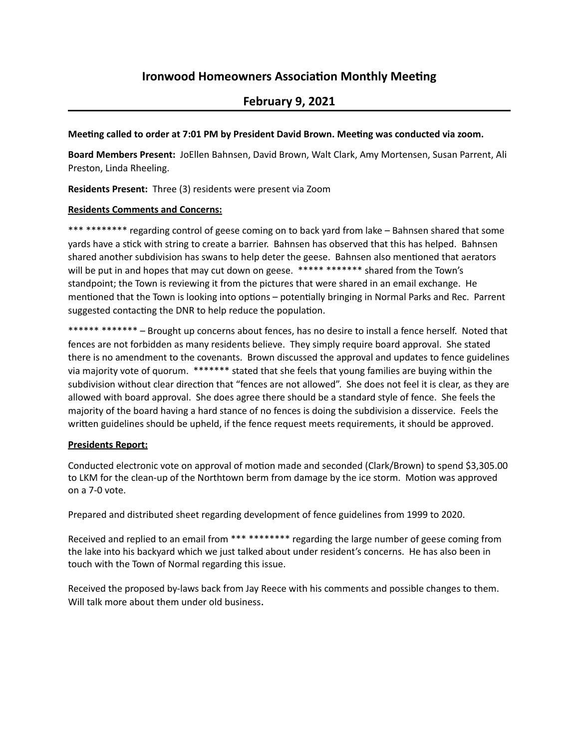# **Ironwood Homeowners Association Monthly Meeting**

## **February 9, 2021**

#### Meeting called to order at 7:01 PM by President David Brown. Meeting was conducted via zoom.

Board Members Present: JoEllen Bahnsen, David Brown, Walt Clark, Amy Mortensen, Susan Parrent, Ali Preston, Linda Rheeling.

**Residents Present:** Three (3) residents were present via Zoom

#### **Residents Comments and Concerns:**

\*\*\*\*\*\*\*\*\*\*\* regarding control of geese coming on to back yard from lake – Bahnsen shared that some yards have a stick with string to create a barrier. Bahnsen has observed that this has helped. Bahnsen shared another subdivision has swans to help deter the geese. Bahnsen also mentioned that aerators will be put in and hopes that may cut down on geese. \*\*\*\*\* \*\*\*\*\*\*\* shared from the Town's standpoint; the Town is reviewing it from the pictures that were shared in an email exchange. He mentioned that the Town is looking into options – potentially bringing in Normal Parks and Rec. Parrent suggested contacting the DNR to help reduce the population.

\*\*\*\*\*\* \*\*\*\*\*\*\* - Brought up concerns about fences, has no desire to install a fence herself. Noted that fences are not forbidden as many residents believe. They simply require board approval. She stated there is no amendment to the covenants. Brown discussed the approval and updates to fence guidelines via majority vote of quorum. \*\*\*\*\*\*\* stated that she feels that young families are buying within the subdivision without clear direction that "fences are not allowed". She does not feel it is clear, as they are allowed with board approval. She does agree there should be a standard style of fence. She feels the majority of the board having a hard stance of no fences is doing the subdivision a disservice. Feels the written guidelines should be upheld, if the fence request meets requirements, it should be approved.

## **Presidents Report:**

Conducted electronic vote on approval of motion made and seconded (Clark/Brown) to spend \$3,305.00 to LKM for the clean-up of the Northtown berm from damage by the ice storm. Motion was approved on a 7-0 vote.

Prepared and distributed sheet regarding development of fence guidelines from 1999 to 2020.

Received and replied to an email from \*\*\* \*\*\*\*\*\*\* regarding the large number of geese coming from the lake into his backyard which we just talked about under resident's concerns. He has also been in touch with the Town of Normal regarding this issue.

Received the proposed by-laws back from Jay Reece with his comments and possible changes to them. Will talk more about them under old business.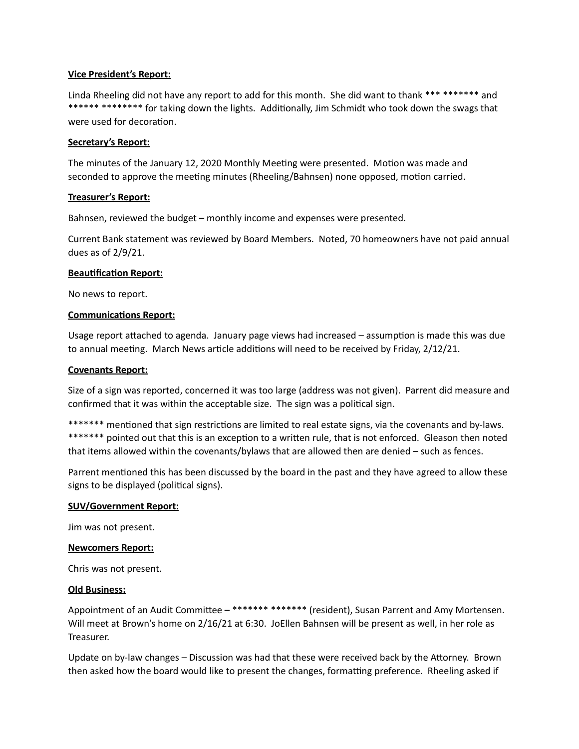#### **Vice President's Report:**

Linda Rheeling did not have any report to add for this month. She did want to thank \*\*\* \*\*\*\*\*\*\* and \*\*\*\*\*\* \*\*\*\*\*\*\*\* \* for taking down the lights. Additionally, Jim Schmidt who took down the swags that were used for decoration.

#### **Secretary's Report:**

The minutes of the January 12, 2020 Monthly Meeting were presented. Motion was made and seconded to approve the meeting minutes (Rheeling/Bahnsen) none opposed, motion carried.

## **Treasurer's Report:**

Bahnsen, reviewed the budget – monthly income and expenses were presented.

Current Bank statement was reviewed by Board Members. Noted, 70 homeowners have not paid annual dues as of  $2/9/21$ .

#### **Beautification Report:**

No news to report.

#### **Communications Report:**

Usage report attached to agenda. January page views had increased – assumption is made this was due to annual meeting. March News article additions will need to be received by Friday, 2/12/21.

#### **Covenants Report:**

Size of a sign was reported, concerned it was too large (address was not given). Parrent did measure and confirmed that it was within the acceptable size. The sign was a political sign.

\*\*\*\*\*\*\* mentioned that sign restrictions are limited to real estate signs, via the covenants and by-laws. \*\*\*\*\*\*\* pointed out that this is an exception to a written rule, that is not enforced. Gleason then noted that items allowed within the covenants/bylaws that are allowed then are denied – such as fences.

Parrent mentioned this has been discussed by the board in the past and they have agreed to allow these signs to be displayed (political signs).

#### **SUV/Government Report:**

Jim was not present.

#### **Newcomers Report:**

Chris was not present.

#### **Old Business:**

Appointment of an Audit Committee - \*\*\*\*\*\*\* \*\*\*\*\*\*\* (resident), Susan Parrent and Amy Mortensen. Will meet at Brown's home on 2/16/21 at 6:30. JoEllen Bahnsen will be present as well, in her role as Treasurer. 

Update on by-law changes – Discussion was had that these were received back by the Attorney. Brown then asked how the board would like to present the changes, formatting preference. Rheeling asked if